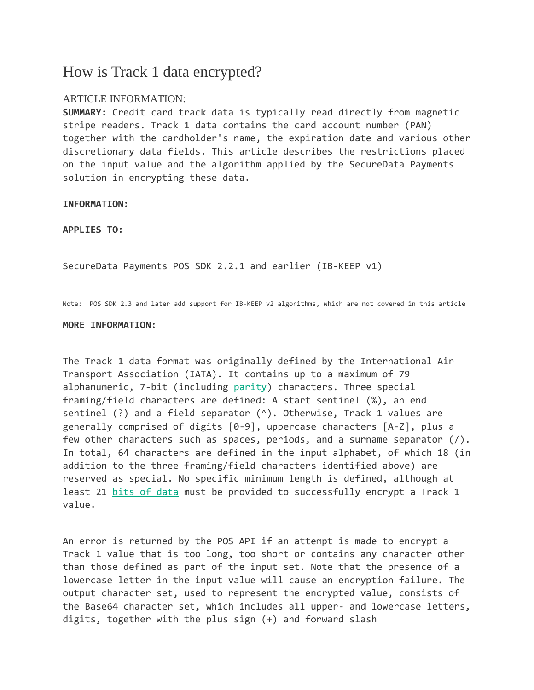## How is Track 1 data encrypted?

## ARTICLE INFORMATION:

**SUMMARY:** Credit card track data is typically read directly from magnetic stripe readers. Track 1 data contains the card account number (PAN) together with the cardholder's name, the expiration date and various other discretionary data fields. This article describes the restrictions placed on the input value and the algorithm applied by the SecureData Payments solution in encrypting these data.

**INFORMATION:** 

**APPLIES TO:**

SecureData Payments POS SDK 2.2.1 and earlier (IB-KEEP v1)

Note: POS SDK 2.3 and later add support for IB-KEEP v2 algorithms, which are not covered in this article

## **MORE INFORMATION:**

The Track 1 data format was originally defined by the International Air Transport Association (IATA). It contains up to a maximum of 79 alphanumeric, 7-bit (including [parity\)](http://en.wikipedia.org/wiki/Parity_bit) characters. Three special framing/field characters are defined: A start sentinel (%), an end sentinel (?) and a field separator (^). Otherwise, Track 1 values are generally comprised of digits [0-9], uppercase characters [A-Z], plus a few other characters such as spaces, periods, and a surname separator (/). In total, 64 characters are defined in the input alphabet, of which 18 (in addition to the three framing/field characters identified above) are reserved as special. No specific minimum length is defined, although at least 21 [bits of data](https://s5.parature.com/ics/km/KBAnswer.asp?questionID=217) must be provided to successfully encrypt a Track 1 value.

An error is returned by the POS API if an attempt is made to encrypt a Track 1 value that is too long, too short or contains any character other than those defined as part of the input set. Note that the presence of a lowercase letter in the input value will cause an encryption failure. The output character set, used to represent the encrypted value, consists of the Base64 character set, which includes all upper- and lowercase letters, digits, together with the plus sign (+) and forward slash